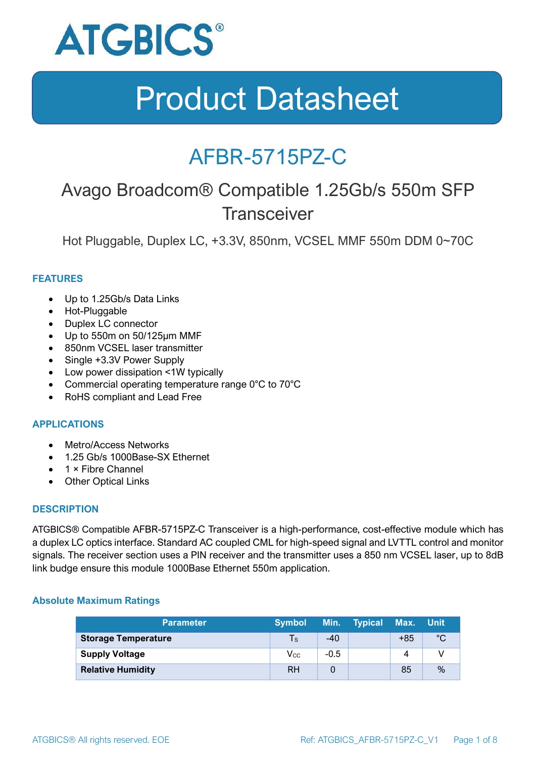

### AFBR-5715PZ-C

### Avago Broadcom® Compatible 1.25Gb/s 550m SFP **Transceiver**

Hot Pluggable, Duplex LC, +3.3V, 850nm, VCSEL MMF 550m DDM 0~70C

#### **FEATURES**

- Up to 1.25Gb/s Data Links
- Hot-Pluggable
- Duplex LC connector
- Up to 550m on 50/125μm MMF
- 850nm VCSEL laser transmitter
- Single +3.3V Power Supply
- Low power dissipation <1W typically
- Commercial operating temperature range 0°C to 70°C
- RoHS compliant and Lead Free

#### **APPLICATIONS**

- Metro/Access Networks
- 1.25 Gb/s 1000Base-SX Ethernet
- 1 × Fibre Channel
- Other Optical Links

#### **DESCRIPTION**

ATGBICS® Compatible AFBR-5715PZ-C Transceiver is a high-performance, cost-effective module which has a duplex LC optics interface. Standard AC coupled CML for high-speed signal and LVTTL control and monitor signals. The receiver section uses a PIN receiver and the transmitter uses a 850 nm VCSEL laser, up to 8dB link budge ensure this module 1000Base Ethernet 550m application.

#### **Absolute Maximum Ratings**

| <b>≀Parameter</b> '        | <b>Symbol</b>              |        | Min. Typical Max. |     | ⊟Unit |
|----------------------------|----------------------------|--------|-------------------|-----|-------|
| <b>Storage Temperature</b> | $\mathsf{Ts}$              | $-40$  |                   | +85 | °C    |
| <b>Supply Voltage</b>      | $\mathsf{V}_{\mathsf{CC}}$ | $-0.5$ |                   |     |       |
| <b>Relative Humidity</b>   | RH                         |        |                   | 85  | %     |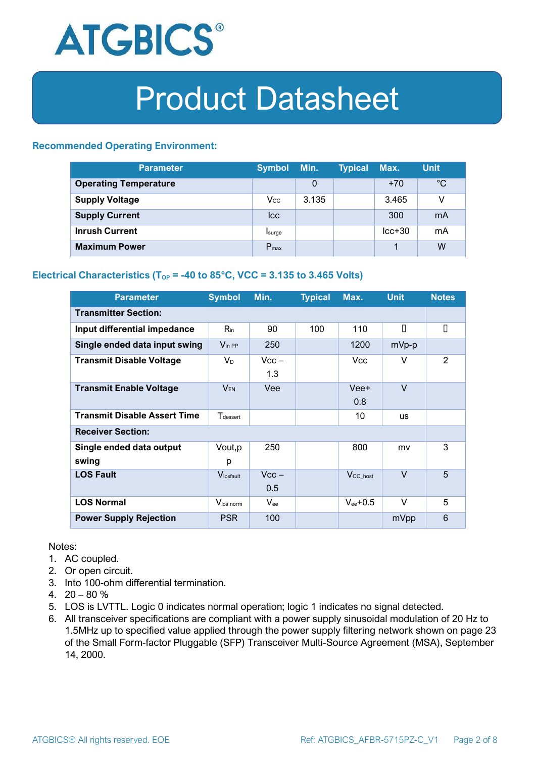

#### **Recommended Operating Environment:**

| <b>Parameter</b>             | <b>Symbol</b>    | Min.  | <b>Typical</b> | Max.     | <b>Unit</b> |
|------------------------------|------------------|-------|----------------|----------|-------------|
| <b>Operating Temperature</b> |                  | 0     |                | $+70$    | $^{\circ}C$ |
| <b>Supply Voltage</b>        | $V_{\rm CC}$     | 3.135 |                | 3.465    | v           |
| <b>Supply Current</b>        | <b>Icc</b>       |       |                | 300      | mA          |
| <b>Inrush Current</b>        | Isurge           |       |                | $lcc+30$ | mA          |
| <b>Maximum Power</b>         | $P_{\text{max}}$ |       |                |          | W           |

#### **Electrical Characteristics** ( $T_{OP}$  = -40 to 85°C, VCC = 3.135 to 3.465 Volts)

| <b>Parameter</b>                    | <b>Symbol</b>               | Min.           | <b>Typical</b> | Max.                  | <b>Unit</b> | <b>Notes</b> |  |
|-------------------------------------|-----------------------------|----------------|----------------|-----------------------|-------------|--------------|--|
| <b>Transmitter Section:</b>         |                             |                |                |                       |             |              |  |
| Input differential impedance        | $R_{\rm in}$                | 90             | 100            | 110                   | П           | О            |  |
| Single ended data input swing       | $V_{\text{in PP}}$          | 250            |                | 1200                  | mVp-p       |              |  |
| <b>Transmit Disable Voltage</b>     | $V_D$                       | $Vcc -$<br>1.3 |                | Vcc                   | V           | 2            |  |
| <b>Transmit Enable Voltage</b>      | $V_{EN}$                    | Vee            |                | Vee+<br>0.8           | $\vee$      |              |  |
| <b>Transmit Disable Assert Time</b> | <b>T</b> <sub>dessert</sub> |                |                | 10                    | <b>US</b>   |              |  |
| <b>Receiver Section:</b>            |                             |                |                |                       |             |              |  |
| Single ended data output<br>swing   | Vout, p<br>р                | 250            |                | 800                   | mv          | 3            |  |
| <b>LOS Fault</b>                    | Vlosfault                   | $Vcc -$<br>0.5 |                | $V_{\text{CC\_host}}$ | $\vee$      | 5            |  |
| <b>LOS Normal</b>                   | Vlos norm                   | $V_{\rm ee}$   |                | $V_{ee}$ +0.5         | V           | 5            |  |
| <b>Power Supply Rejection</b>       | <b>PSR</b>                  | 100            |                |                       | mVpp        | 6            |  |

Notes:

- 1. AC coupled.
- 2. Or open circuit.
- 3. Into 100-ohm differential termination.
- 4.  $20 80 \%$
- 5. LOS is LVTTL. Logic 0 indicates normal operation; logic 1 indicates no signal detected.
- 6. All transceiver specifications are compliant with a power supply sinusoidal modulation of 20 Hz to 1.5MHz up to specified value applied through the power supply filtering network shown on page 23 of the Small Form-factor Pluggable (SFP) Transceiver Multi-Source Agreement (MSA), September 14, 2000.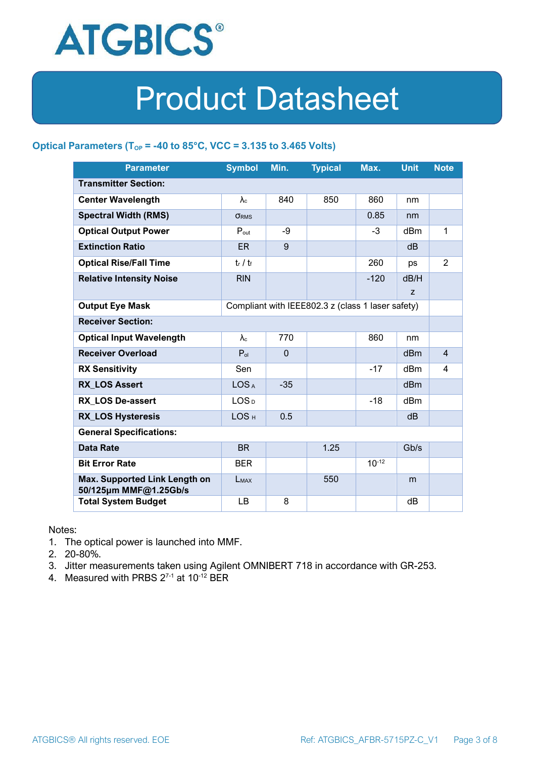

#### **Optical Parameters** ( $T_{OP}$  = -40 to 85°C, VCC = 3.135 to 3.465 Volts)

| <b>Parameter</b>                                                            | <b>Symbol</b>     | Min.         | <b>Typical</b> | Max.       | <b>Unit</b>     | <b>Note</b>    |  |
|-----------------------------------------------------------------------------|-------------------|--------------|----------------|------------|-----------------|----------------|--|
| <b>Transmitter Section:</b>                                                 |                   |              |                |            |                 |                |  |
| <b>Center Wavelength</b>                                                    | $\lambda_c$       | 840          | 850            | 860        | nm              |                |  |
| <b>Spectral Width (RMS)</b>                                                 | <b>ORMS</b>       |              |                | 0.85       | nm              |                |  |
| <b>Optical Output Power</b>                                                 | $P_{\text{out}}$  | -9           |                | $-3$       | dBm             | 1              |  |
| <b>Extinction Ratio</b>                                                     | <b>ER</b>         | 9            |                |            | dB              |                |  |
| <b>Optical Rise/Fall Time</b>                                               | $t_r / t_f$       |              |                | 260        | ps              | $\overline{2}$ |  |
| <b>Relative Intensity Noise</b>                                             | <b>RIN</b>        |              |                | $-120$     | dB/H            |                |  |
|                                                                             |                   |              |                |            | Z               |                |  |
| <b>Output Eye Mask</b><br>Compliant with IEEE802.3 z (class 1 laser safety) |                   |              |                |            |                 |                |  |
| <b>Receiver Section:</b>                                                    |                   |              |                |            |                 |                |  |
| <b>Optical Input Wavelength</b>                                             | $\lambda_{\rm c}$ | 770          |                | 860        | nm              |                |  |
| <b>Receiver Overload</b>                                                    | $P_{ol}$          | $\mathbf{0}$ |                |            | dBm             | $\overline{4}$ |  |
| <b>RX Sensitivity</b>                                                       | Sen               |              |                | $-17$      | dBm             | 4              |  |
| <b>RX LOS Assert</b>                                                        | LOS <sub>A</sub>  | $-35$        |                |            | d <sub>Bm</sub> |                |  |
| <b>RX LOS De-assert</b>                                                     | LOS <sub>D</sub>  |              |                | -18        | dB <sub>m</sub> |                |  |
| <b>RX_LOS Hysteresis</b>                                                    | LOS <sub>H</sub>  | 0.5          |                |            | d <sub>B</sub>  |                |  |
| <b>General Specifications:</b>                                              |                   |              |                |            |                 |                |  |
| <b>Data Rate</b>                                                            | <b>BR</b>         |              | 1.25           |            | Gb/s            |                |  |
| <b>Bit Error Rate</b>                                                       | <b>BER</b>        |              |                | $10^{-12}$ |                 |                |  |
| Max. Supported Link Length on<br>50/125µm MMF@1.25Gb/s                      | LMAX              |              | 550            |            | m               |                |  |
| <b>Total System Budget</b>                                                  | LB                | 8            |                |            | dB              |                |  |

Notes:

- 1. The optical power is launched into MMF.
- 2. 20-80%.
- 3. Jitter measurements taken using Agilent OMNIBERT 718 in accordance with GR-253.
- 4. Measured with PRBS  $2^{7-1}$  at 10<sup>-12</sup> BER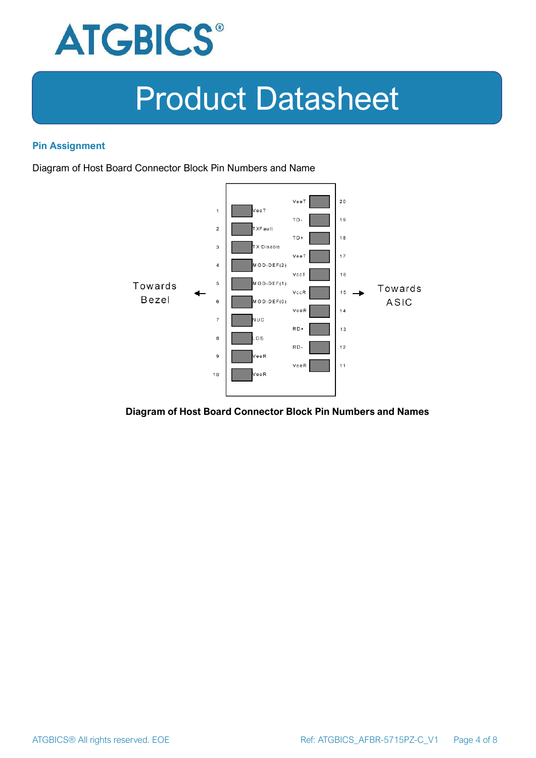

#### **Pin Assignment**

Diagram of Host Board Connector Block Pin Numbers and Name



#### **Diagram of Host Board Connector Block Pin Numbers and Names**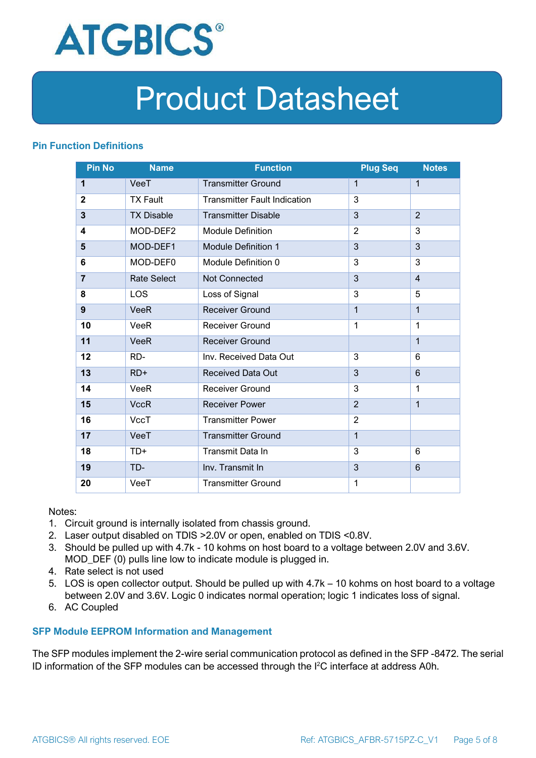

#### **Pin Function Definitions**

| <b>Pin No</b>  | <b>Name</b>        | <b>Function</b>                     | <b>Plug Seq</b> | <b>Notes</b>   |
|----------------|--------------------|-------------------------------------|-----------------|----------------|
| 1              | VeeT               | <b>Transmitter Ground</b>           | $\mathbf 1$     | $\mathbf 1$    |
| $\mathbf 2$    | <b>TX Fault</b>    | <b>Transmitter Fault Indication</b> | 3               |                |
| 3              | <b>TX Disable</b>  | <b>Transmitter Disable</b>          | 3               | $\overline{2}$ |
| 4              | MOD-DEF2           | <b>Module Definition</b>            | $\overline{2}$  | 3              |
| 5              | MOD-DEF1           | <b>Module Definition 1</b>          | 3               | 3              |
| 6              | MOD-DEF0           | Module Definition 0                 | 3               | 3              |
| $\overline{7}$ | <b>Rate Select</b> | Not Connected                       | 3               | $\overline{4}$ |
| 8              | <b>LOS</b>         | Loss of Signal                      | 3               | 5              |
| 9              | <b>VeeR</b>        | <b>Receiver Ground</b>              | $\mathbf 1$     | $\mathbf{1}$   |
| 10             | VeeR               | Receiver Ground                     | $\mathbf{1}$    | $\mathbf 1$    |
| 11             | <b>VeeR</b>        | <b>Receiver Ground</b>              |                 | $\mathbf{1}$   |
| 12             | RD-                | Inv. Received Data Out              | 3               | 6              |
| 13             | $RD+$              | <b>Received Data Out</b>            | 3               | 6              |
| 14             | VeeR               | <b>Receiver Ground</b>              | 3               | 1              |
| 15             | <b>VccR</b>        | <b>Receiver Power</b>               | $\overline{2}$  | $\mathbf{1}$   |
| 16             | <b>VccT</b>        | <b>Transmitter Power</b>            | $\overline{2}$  |                |
| 17             | VeeT               | <b>Transmitter Ground</b>           | $\mathbf{1}$    |                |
| 18             | TD+                | Transmit Data In                    | 3               | 6              |
| 19             | TD-                | Inv. Transmit In                    | 3               | 6              |
| 20             | VeeT               | <b>Transmitter Ground</b>           | 1               |                |

Notes:

- 1. Circuit ground is internally isolated from chassis ground.
- 2. Laser output disabled on TDIS >2.0V or open, enabled on TDIS <0.8V.
- 3. Should be pulled up with 4.7k 10 kohms on host board to a voltage between 2.0V and 3.6V. MOD\_DEF (0) pulls line low to indicate module is plugged in.
- 4. Rate select is not used
- 5. LOS is open collector output. Should be pulled up with 4.7k 10 kohms on host board to a voltage between 2.0V and 3.6V. Logic 0 indicates normal operation; logic 1 indicates loss of signal.
- 6. AC Coupled

#### **SFP Module EEPROM Information and Management**

The SFP modules implement the 2-wire serial communication protocol as defined in the SFP -8472. The serial ID information of the SFP modules can be accessed through the I2C interface at address A0h.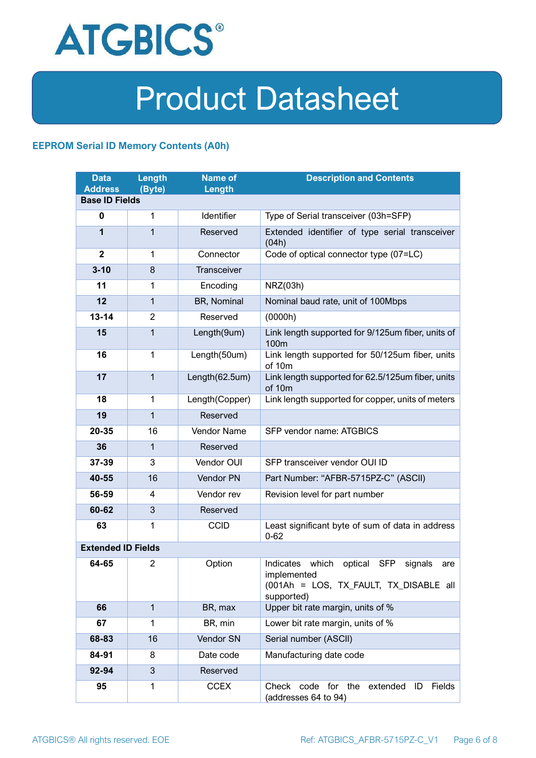

#### **EEPROM Serial ID Memory Contents (A0h)**

| <b>Data</b><br><b>Address</b> | <b>Length</b><br>(Byte) | <b>Name of</b><br>Length | <b>Description and Contents</b>                                                                                            |  |
|-------------------------------|-------------------------|--------------------------|----------------------------------------------------------------------------------------------------------------------------|--|
| <b>Base ID Fields</b>         |                         |                          |                                                                                                                            |  |
| $\mathbf 0$                   | 1                       | Identifier               | Type of Serial transceiver (03h=SFP)                                                                                       |  |
| 1                             | 1                       | Reserved                 | Extended identifier of type serial transceiver<br>(04h)                                                                    |  |
| $\overline{2}$                | 1                       | Connector                | Code of optical connector type (07=LC)                                                                                     |  |
| $3 - 10$                      | 8                       | Transceiver              |                                                                                                                            |  |
| 11                            | 1                       | Encoding                 | NRZ(03h)                                                                                                                   |  |
| 12                            | $\mathbf{1}$            | BR, Nominal              | Nominal baud rate, unit of 100Mbps                                                                                         |  |
| $13 - 14$                     | $\overline{2}$          | Reserved                 | (0000h)                                                                                                                    |  |
| 15                            | $\mathbf{1}$            | Length(9um)              | Link length supported for 9/125um fiber, units of<br>100 <sub>m</sub>                                                      |  |
| 16                            | 1                       | Length(50um)             | Link length supported for 50/125um fiber, units<br>of 10m                                                                  |  |
| 17                            | $\mathbf{1}$            | Length(62.5um)           | Link length supported for 62.5/125um fiber, units<br>of 10m                                                                |  |
| 18                            | 1                       | Length(Copper)           | Link length supported for copper, units of meters                                                                          |  |
| 19                            | $\mathbf{1}$            | Reserved                 |                                                                                                                            |  |
| 20-35                         | 16                      | Vendor Name              | SFP vendor name: ATGBICS                                                                                                   |  |
| 36                            | 1                       | Reserved                 |                                                                                                                            |  |
| 37-39                         | 3                       | Vendor OUI               | SFP transceiver vendor OUI ID                                                                                              |  |
| 40-55                         | 16                      | Vendor PN                | Part Number: "AFBR-5715PZ-C" (ASCII)                                                                                       |  |
| 56-59                         | 4                       | Vendor rev               | Revision level for part number                                                                                             |  |
| 60-62                         | 3                       | Reserved                 |                                                                                                                            |  |
| 63                            | 1                       | <b>CCID</b>              | Least significant byte of sum of data in address<br>$0 - 62$                                                               |  |
| <b>Extended ID Fields</b>     |                         |                          |                                                                                                                            |  |
| 64-65                         | 2                       | Option                   | Indicates which<br>optical<br>SFP<br>signals<br>are<br>implemented<br>(001Ah = LOS, TX_FAULT, TX_DISABLE all<br>supported) |  |
| 66                            | $\mathbf{1}$            | BR, max                  | Upper bit rate margin, units of %                                                                                          |  |
| 67                            | 1                       | BR, min                  | Lower bit rate margin, units of %                                                                                          |  |
| 68-83                         | 16                      | Vendor SN                | Serial number (ASCII)                                                                                                      |  |
| 84-91                         | 8                       | Date code                | Manufacturing date code                                                                                                    |  |
| 92-94                         | 3                       | Reserved                 |                                                                                                                            |  |
| 95                            | 1                       | <b>CCEX</b>              | Check code for the<br>Fields<br>extended<br>ID<br>(addresses 64 to 94)                                                     |  |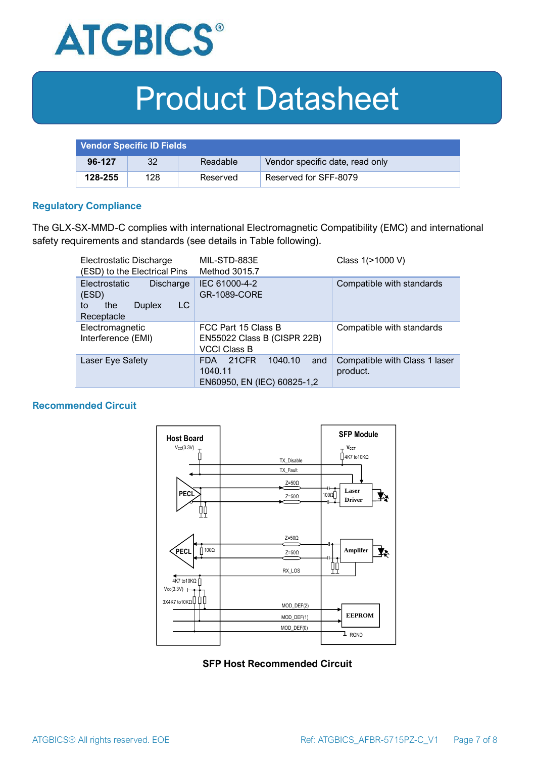

| <b>Vendor Specific ID Fields</b> |     |          |                                 |
|----------------------------------|-----|----------|---------------------------------|
| 96-127                           | 32  | Readable | Vendor specific date, read only |
| 128-255                          | 128 | Reserved | Reserved for SFF-8079           |

#### **Regulatory Compliance**

The GLX-SX-MMD-C complies with international Electromagnetic Compatibility (EMC) and international safety requirements and standards (see details in Table following).

| Electrostatic Discharge<br>(ESD) to the Electrical Pins                                      | MIL-STD-883E<br>Method 3015.7                                                   | Class 1(>1000 V)                          |  |
|----------------------------------------------------------------------------------------------|---------------------------------------------------------------------------------|-------------------------------------------|--|
| <b>Electrostatic</b><br>Discharge<br>(ESD)<br>LC<br>the<br><b>Duplex</b><br>to<br>Receptacle | IEC 61000-4-2<br><b>GR-1089-CORE</b>                                            | Compatible with standards                 |  |
| Electromagnetic<br>Interference (EMI)                                                        | FCC Part 15 Class B<br>EN55022 Class B (CISPR 22B)<br><b>VCCI Class B</b>       | Compatible with standards                 |  |
| Laser Eye Safety                                                                             | 1040.10<br>21CFR<br>and<br><b>FDA</b><br>1040.11<br>EN60950, EN (IEC) 60825-1,2 | Compatible with Class 1 laser<br>product. |  |

#### **Recommended Circuit**



#### **SFP Host Recommended Circuit**